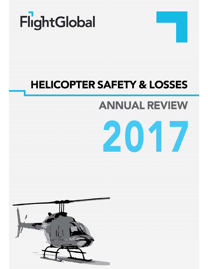

## **HELICOPTER SAFETY & LOSSES**

# **ANNUAL REVIEW**



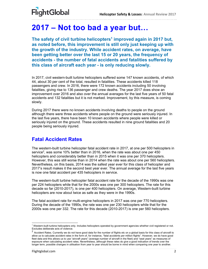### **2017 – Not too bad a year but…**

The safety of civil turbine helicopters<sup>1</sup> improved again in 2017 but, **as noted before, this improvement is still only just keeping up with the growth of the industry. While accident rates, on average, have been getting better over the last 15 or 20 years, the frequency of accidents - the number of fatal accidents and fatalities suffered by this class of aircraft each year - is only reducing slowly.** 

In 2017, civil western-built turbine helicopters suffered some 147 known accidents, of which 44, about 30 per cent of the total, resulted in fatalities. These accidents killed 118 passengers and crew. In 2016, there were 172 known accidents including 50 involving fatalities, giving rise to 136 passenger and crew deaths. The year 2017 does show an improvement over 2016 and also over the annual averages for the last five years of 50 fatal accidents and 132 fatalities but it is not marked. Improvement, by this measure, is coming slowly.

During 2017 there were no known accidents involving deaths to people on the ground although there were three accidents where people on the ground were seriously injured. In the last five years, there have been 10 known accidents where people were killed or seriously injured on the ground. These accidents resulted in nine ground fatalities and 20 people being seriously injured.

#### **Fatal Accident Rates**

The western-built turbine helicopter fatal accident rate in 2017, at one per 500 helicopters in service<sup>2</sup>, was some 10% better than in 2016, when the rate was about one per 450 helicopters and considerably better than in 2015 when it was one per 370 helicopters. However, this was still worse than in 2014 when the rate was about one per 560 helicopters. Nevertheless, on this basis, 2014 was the safest year ever for this class of helicopter and 2017's result makes it the second best year ever. The annual average for the last five years is now one fatal accident per 435 helicopters in service.

The western-built turbine helicopter fatal accident rate for the decade of the 1990s was one per 224 helicopters while that for the 2000s was one per 300 helicopters. The rate for this decade so far (2010-2017), is one per 400 helicopters. On average, Western-built turbine helicopters are now about twice as safe as they were in the 1990s.

The fatal accident rate for multi-engine helicopters in 2017 was one per 770 helicopters. During the decade of the 1990s, the rate was one per 230 helicopters while that for the 2000s was one per 332. The rate for this decade (2010-2017) is one per 560 helicopters.

l 1 Western-built turbine helicopters only. Includes helicopters operated by government agencies whether civil registered or not. Excludes deliberate acts of violence.

 $^2$  Accident Rates. Currently we do not have good data for the number of flights etc on a global basis for this class of aircraft to allow us to calculate accident rates in the form of, for instance, "fatal accidents per million flights". However, we do have good fleet data and this allows us to use "aircraft years" (average number of aircraft in the fleet) and "seat years" as measures of exposure when calculating accident rates. Nevertheless, although these rates do give a good indication of trends over the longer term, possible changes in utilisation from year to year should be borne in mind when comparing one year to another.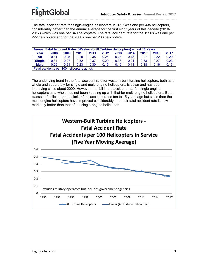The fatal accident rate for single-engine helicopters in 2017 was one per 435 helicopters, considerably better than the annual average for the first eight years of this decade (2010- 2017) which was one per 340 helicopters. The fatal accident rate for the 1990s was one per 222 helicopters and for the 2000s one per 286 helicopters.

| Annual Fatal Accident Rates (Western-built Turbine Helicopters) - Last 10 Years |      |      |      |      |      |      |      |      |      |      |  |
|---------------------------------------------------------------------------------|------|------|------|------|------|------|------|------|------|------|--|
| Year                                                                            | 2008 | 2009 | 2010 | 2011 | 2012 | 2013 | 2014 | 2015 | 2016 | 2017 |  |
| All                                                                             | 0.31 | 0.25 | 0.29 | 0.35 | 0.24 | 0.28 | 0.18 | 0.27 | 0.22 | 0.20 |  |
| <b>Single</b>                                                                   | 0.34 | 0.27 | 0.32 | 0.37 | 0.29 | 0.33 | 0.21 | 0.33 | 0.27 | 0.23 |  |
| <b>Multi</b>                                                                    | 0.26 | 0.21 | 0.23 | 0.30 | 0.15 | 0.19 | 0.11 | 0.18 | 0.16 | 0.13 |  |
| Fatal accidents per 100 helicopters at risk                                     |      |      |      |      |      |      |      |      |      |      |  |

The underlying trend in the fatal accident rate for western-built turbine helicopters, both as a whole and separately for single and multi-engine helicopters, is down and has been improving since about 2000. However, the fall in the accident rate for single-engine helicopters as a whole has not been keeping up with that for multi-engine helicopters. Both classes of helicopter had similar fatal accident rates ten to 15 years ago but since then the multi-engine helicopters have improved considerably and their fatal accident rate is now markedly better than that of the single-engine helicopters.

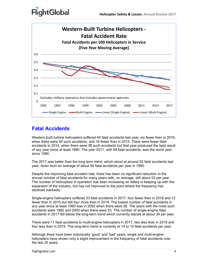



### **Fatal Accidents**

Western-built turbine helicopters suffered 44 fatal accidents last year, six fewer than in 2016, when there were 50 such accidents, and 16 fewer than in 2015. There were fewer fatal accidents in 2014, when there were 38 such accidents but that year produced the best result of any year since at least 1990. The year 2011, with 69 fatal accidents, was the worst year since 1990.

The 2017 was better than the long term trend, which stood at around 52 fatal accidents last year, down from an average of about 60 fatal accidents per year in 1990.

Despite the improving fatal accident rate, there has been no significant reduction in the annual number of fatal accidents for many years with, on average, still about 52 per year. The number of helicopters in operation has been increasing so safety is keeping up with the expansion of the industry, but has not improved to the point where the frequency has declined markedly.

Single-engine helicopters suffered 33 fatal accidents in 2017, four fewer than in 2016 and 12 fewer than in 2015 but still four more than in 2014. The lowest number of fatal accidents in any year since at least 1990 was in 2002 when there were 28. The years with the most such accidents were 1992 and 2000 when there were 53. The number of single-engine fatal accidents in 2017 fell below the long-term trend which currently stands at about 39 per year.

There were 11 fatal accidents to multi-engine helicopters in 2017, two less than in 2016 and four less than in 2015. The long-term trend is currently at 14 to 15 fatal accidents per year.

Although there have been individually 'good' and 'bad' years, single and multi-engine helicopters have shown only a slight improvement in the frequency of fatal accidents over the last 25 years.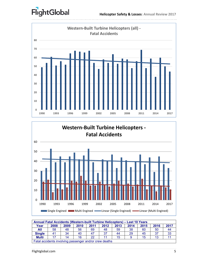



| Annual Fatal Accidents (Western-built Turbine Helicopters) - Last 10 Years |      |      |      |      |      |      |      |      |      |      |  |
|----------------------------------------------------------------------------|------|------|------|------|------|------|------|------|------|------|--|
| Year                                                                       | 2008 | 2009 | 2010 | 2011 | 2012 | 2013 | 2014 | 2015 | 2016 | 2017 |  |
| All                                                                        | 58   | 48   | 56   | 69   | 48   | 59   | 38   | 60   | 50   | 44   |  |
| <b>Single</b>                                                              | 41   | 34   | 40   | 47   | 37   | 44   | 29   | 45   | -37  | 33   |  |
| <b>Multi</b>                                                               |      | 14   | 16   | 22   |      | 15   |      | 15   | 13   |      |  |
| Fatal accidents involving passenger and/or crew deaths                     |      |      |      |      |      |      |      |      |      |      |  |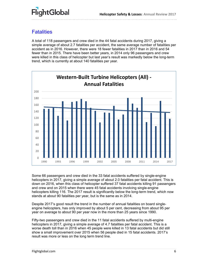### **Fatalities**

A total of 118 passengers and crew died in the 44 fatal accidents during 2017, giving a simple average of about 2.7 fatalities per accident, the same average number of fatalities per accident as in 2016. However, there were 18 fewer fatalities in 2017 than in 2016 and 54 fewer than in 2015. There have been better years, in 2014 only 96 passengers and crew were killed in this class of helicopter but last year's result was markedly below the long-term trend, which is currently at about 140 fatalities per year.



Some 66 passengers and crew died in the 33 fatal accidents suffered by single-engine helicopters in 2017, giving a simple average of about 2.0 fatalities per fatal accident. This is down on 2016, when this class of helicopter suffered 37 fatal accidents killing 91 passengers and crew and on 2015 when there were 45 fatal accidents involving single-engine helicopters killing 116. The 2017 result is significantly below the long-term trend, which now stands at about 90 fatalities per year, but is the same as in 2014.

Despite 2017's good result the trend in the number of annual fatalities on board singleengine helicopters, has only improved by about 5 per cent, decreasing from about 95 per year on average to about 90 per year now in the more than 25 years since 1990.

Fifty-two passengers and crew died in the 11 fatal accidents suffered by multi-engine helicopters in 2017, giving a simple average of 4.7 fatalities per fatal accident. This is a worse death toll than in 2016 when 45 people were killed in 13 fatal accidents but did still show a small improvement over 2015 when 56 people died in 15 fatal accidents. 2017's result was more or less on the long term trend line.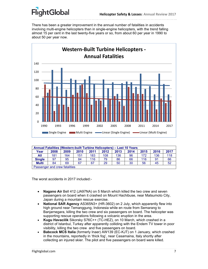There has been a greater improvement in the annual number of fatalities in accidents involving multi-engine helicopters than in single-engine helicopters, with the trend falling almost 15 per cent in the last twenty-five years or so, from about 60 per year in 1990 to about 50 per year now.



| Annual Fatalities (Western-built Turbine Helicopters) – Last 10 Years |      |      |      |      |      |      |      |      |      |      |  |
|-----------------------------------------------------------------------|------|------|------|------|------|------|------|------|------|------|--|
| Year                                                                  | 2008 | 2009 | 2010 | 2011 | 2012 | 2013 | 2014 | 2015 | 2016 | 2017 |  |
| All                                                                   | 181  | 164  | 151  | 183  | 108  | 136  | 96   | 172  | 136  | 118  |  |
| <b>Single</b>                                                         | 97   | 95   | 84   | 116  | 79   | 86   | 66   | 116  | 91   | 66   |  |
| <b>Multi</b>                                                          | 84   | 69   | 67   | 67   | 29   | 50   | 30   | 56   | 45   | 52   |  |
| Passenger and crew fatalities                                         |      |      |      |      |      |      |      |      |      |      |  |

The worst accidents in 2017 included:-

- **Nagano Air** Bell 412 (JA97NA) on 5 March which killed the two crew and seven passengers on board when it crashed on Mount Hachibuse, near Matsumoto City, Japan during a mountain rescue exercise.
- **National SAR Agency** AS365N3+ (HR-3602) on 2 July, which apparently flew into high ground near Temanggung, Indonesia while en route from Semarang to Banjarnegara, killing the two crew and six passengers on board. The helicopter was supporting rescue operations following a volcanic eruption in the area.
- **Kugu Havacilik** Sikorsky S76C++ (TC-HEZ), on 10 March, which crashed in a district of Istanbul, Turkey after apparently colliding with the Endem TV tower in poor visibility, killing the two crew and five passengers on board.
- **Babcock MCS Italia** (formerly Inaer) AW139 (EC-KJT) on 1 January, which crashed in the mountains, reportedly in 'thick fog', near Casamaina, Italy shortly after collecting an injured skier. The pilot and five passengers on board were killed.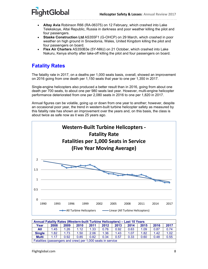- **Altay Avia** Robinson R66 (RA-06375) on 12 February, which crashed into Lake Telekskoye, Altai Republic, Russia in darkness and poor weather killing the pilot and four passengers.
- **Staske Construction Ltd** AS355F1 (G-OHCP) on 29 March, which crashed in poor weather on high ground in Snowdonia, Wales, United Kingdom killing the pilot and four passengers on board.
- **Flex Air Charters** AS350B3e (5Y-NMJ) on 21 October, which crashed into Lake Nakuru, Kenya shortly after take-off killing the pilot and four passengers on board.

### **Fatality Rates**

The fatality rate in 2017, on a deaths per 1,000 seats basis, overall, showed an improvement on 2016 going from one death per 1,150 seats that year to one per 1,350 in 2017.

Single-engine helicopters also produced a better result than in 2016, going from about one death per 700 seats, to about one per 980 seats last year. However, multi-engine helicopter performance deteriorated from one per 2,080 seats in 2016 to one per 1,820 in 2017.

Annual figures can be volatile, going up or down from one year to another; however, despite an occasional poor year, the trend in western-built turbine helicopter safety as measured by this fatality rate has shown an improvement over the years and, on this basis, the class is about twice as safe now as it was 25 years ago.



| Annual Fatality Rates (Western-built Turbine Helicopters) - Last 10 Years |      |      |      |      |      |      |      |      |      |      |  |
|---------------------------------------------------------------------------|------|------|------|------|------|------|------|------|------|------|--|
| Year                                                                      | 2008 | 2009 | 2010 | 2011 | 2012 | 2013 | 2014 | 2015 | 2016 | 2017 |  |
| All                                                                       | 1.45 | 1.26 | 1.12 | 1.33 | 0.76 | 0.92 | 0.63 | 1.09 | 0.87 | 0.74 |  |
| <b>Single</b>                                                             | 1.82 | 1.73 | 1.50 | 2.06 | 1.36 | 1.43 | 1.07 | 1.82 | 1.42 | 1.02 |  |
| <b>Multi</b>                                                              | 1.17 | 0.92 | 0.85 | 0.82 | 0.34 | 0.57 | 0.33 | 0.60 | 0.48 | 0.55 |  |
| Fatalities (passengers and crew) per 1,000 seats in service               |      |      |      |      |      |      |      |      |      |      |  |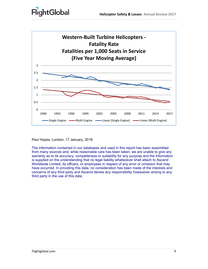

Paul Hayes, London, 17 January, 2018

The information contained in our databases and used in this report has been assembled from many sources and, while reasonable care has been taken, we are unable to give any warranty as to its accuracy, completeness or suitability for any purpose and the information is supplied on the understanding that no legal liability whatsoever shall attach to Ascend Worldwide Limited, its officers, or employees in respect of any error or omission that may have occurred. In providing this data, no consideration has been made of the interests and concerns of any third party and Ascend denies any responsibility howsoever arising to any third party in the use of this data.